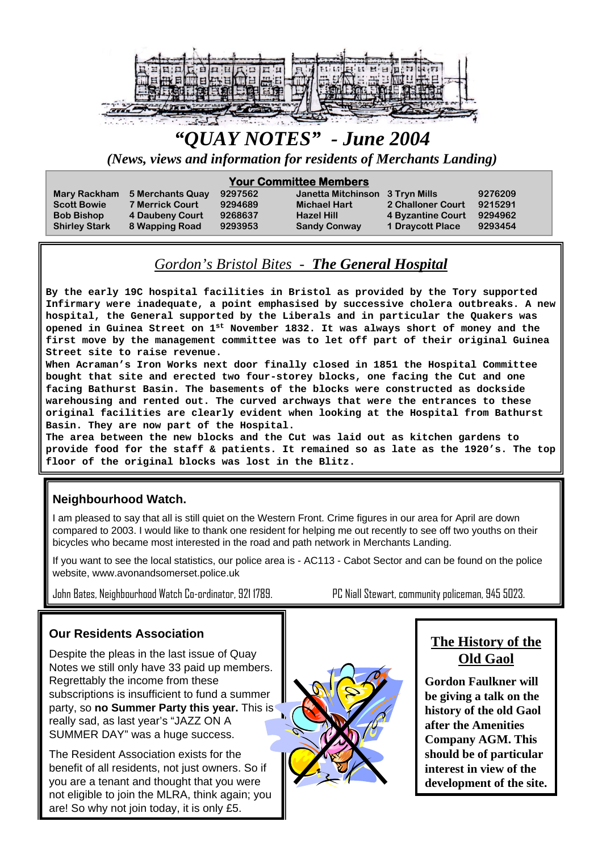

# *"QUAY NOTES" - June 2004*

*(News, views and information for residents of Merchants Landing)*

#### **Your Committee Members**

| <b>Mary Rackham</b><br><b>Scott Bowie</b><br><b>Bob Bishop</b><br><b>Shirley Stark</b> | 5 Merchants Quay<br><b>7 Merrick Court</b><br>4 Daubeny Court<br>8 Wapping Road | 9297562<br>9294689<br>9268637<br>9293953 | Janetta Mitchinson 3 Tryn Mills<br><b>Michael Hart</b><br><b>Hazel Hill</b><br><b>Sandy Conway</b> | 2 Challoner Court<br>4 Byzantine Court 9294962<br>1 Draycott Place | 9276209<br>9215291<br>9293454 |
|----------------------------------------------------------------------------------------|---------------------------------------------------------------------------------|------------------------------------------|----------------------------------------------------------------------------------------------------|--------------------------------------------------------------------|-------------------------------|
|                                                                                        |                                                                                 |                                          |                                                                                                    |                                                                    |                               |

# *Gordon's Bristol Bites - The General Hospital*

**By the early 19C hospital facilities in Bristol as provided by the Tory supported Infirmary were inadequate, a point emphasised by successive cholera outbreaks. A new hospital, the General supported by the Liberals and in particular the Quakers was opened in Guinea Street on 1st November 1832. It was always short of money and the first move by the management committee was to let off part of their original Guinea Street site to raise revenue.**

**When Acraman's Iron Works next door finally closed in 1851 the Hospital Committee bought that site and erected two four-storey blocks, one facing the Cut and one facing Bathurst Basin. The basements of the blocks were constructed as dockside warehousing and rented out. The curved archways that were the entrances to these original facilities are clearly evident when looking at the Hospital from Bathurst Basin. They are now part of the Hospital.**

**The area between the new blocks and the Cut was laid out as kitchen gardens to provide food for the staff & patients. It remained so as late as the 1920's. The top floor of the original blocks was lost in the Blitz.**

#### **Neighbourhood Watch.**

I am pleased to say that all is still quiet on the Western Front. Crime figures in our area for April are down compared to 2003. I would like to thank one resident for helping me out recently to see off two youths on their bicycles who became most interested in the road and path network in Merchants Landing.

If you want to see the local statistics, our police area is - AC113 - Cabot Sector and can be found on the police website, www.avonandsomerset.police.uk

John Bates, Neighbourhood Watch Co-ordinator, 921 1789. PC Niall Stewart, community policeman, 945 5023.

#### **Our Residents Association**

Despite the pleas in the last issue of Quay Notes we still only have 33 paid up members. Regrettably the income from these subscriptions is insufficient to fund a summer party, so **no Summer Party this year.** This is really sad, as last year's "JAZZ ON A SUMMER DAY" was a huge success.

The Resident Association exists for the benefit of all residents, not just owners. So if you are a tenant and thought that you were not eligible to join the MLRA, think again; you are! So why not join today, it is only £5.



**Gordon Faulkner will be giving a talk on the history of the old Gaol after the Amenities Company AGM. This should be of particular interest in view of the development of the site.**